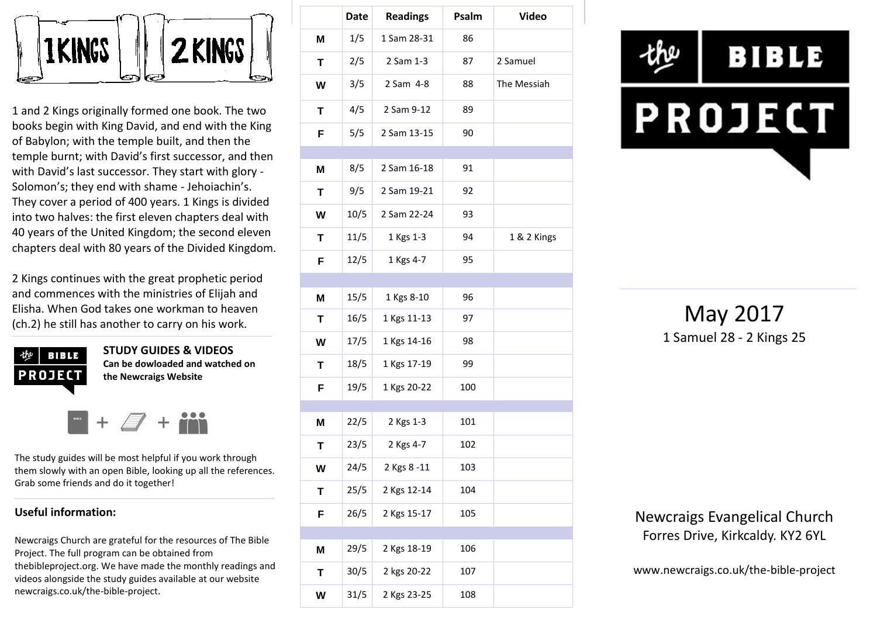

1 and 2 Kings originally formed one book. The two books begin with King David, and end with the King of Babylon; with the temple built, and then the temple burnt; with David's first successor, and then with David's last successor. They start with glory - Solomon's; they end with shame - Jehoiachin's. They cover a period of 400 years. 1 Kings is divided into two halves: the first eleven chapters deal with 40 years of the United Kingdom; the second eleven chapters deal with 80 years of the Divided Kingdom.

2 Kings continues with the great prophetic period and commences with the ministries of Elijah and Elisha. When God takes one workman to heaven (ch.2) he still has another to carry on his work.



**STUDY GUIDES & VIDEOS Can be dowloaded and watched on the Newcraigs Website**

The study guides will be most helpful if you work through them slowly with an open Bible, looking up all the references. Grab some friends and do it together!

#### **Useful information:**

Newcraigs Church are grateful for the resources of The Bible Project. The full program can be obtained from thebibleproject.org. We have made the monthly readings and videos alongside the study guides available at our website newcraigs.co.uk/the-bible-project.

|   | <b>Date</b> | <b>Readings</b> | Psalm | <b>Video</b> |
|---|-------------|-----------------|-------|--------------|
| M | 1/5         | 1 Sam 28-31     | 86    |              |
| Τ | 2/5         | 2 Sam 1-3       | 87    | 2 Samuel     |
| W | 3/5         | 2 Sam 4-8       | 88    | The Messiah  |
| T | 4/5         | 2 Sam 9-12      | 89    |              |
| F | 5/5         | 2 Sam 13-15     | 90    |              |
|   |             |                 |       |              |
| M | 8/5         | 2 Sam 16-18     | 91    |              |
| T | 9/5         | 2 Sam 19-21     | 92    |              |
| W | 10/5        | 2 Sam 22-24     | 93    |              |
| Τ | 11/5        | 1 Kgs 1-3       | 94    | 1 & 2 Kings  |
| F | 12/5        | 1 Kgs 4-7       | 95    |              |
|   |             |                 |       |              |
| M | 15/5        | 1 Kgs 8-10      | 96    |              |
| T | 16/5        | 1 Kgs 11-13     | 97    |              |
| W | 17/5        | 1 Kgs 14-16     | 98    |              |
| Т | 18/5        | 1 Kgs 17-19     | 99    |              |
| F | 19/5        | 1 Kgs 20-22     | 100   |              |
| M | 22/5        | 2 Kgs 1-3       | 101   |              |
| Τ | 23/5        | 2 Kgs 4-7       | 102   |              |
| W | 24/5        | 2 Kgs 8 -11     | 103   |              |
| Т | 25/5        | 2 Kgs 12-14     | 104   |              |
| F | 26/5        | 2 Kgs 15-17     | 105   |              |
|   |             |                 |       |              |
| M | 29/5        | 2 Kgs 18-19     | 106   |              |
| Τ | 30/5        | 2 kgs 20-22     | 107   |              |
| W | 31/5        | 2 Kgs 23-25     | 108   |              |



May 2017 1 Samuel 28 - 2 Kings 25

Newcraigs Evangelical Church Forres Drive, Kirkcaldy. KY2 6YL

www.newcraigs.co.uk/the-bible-project